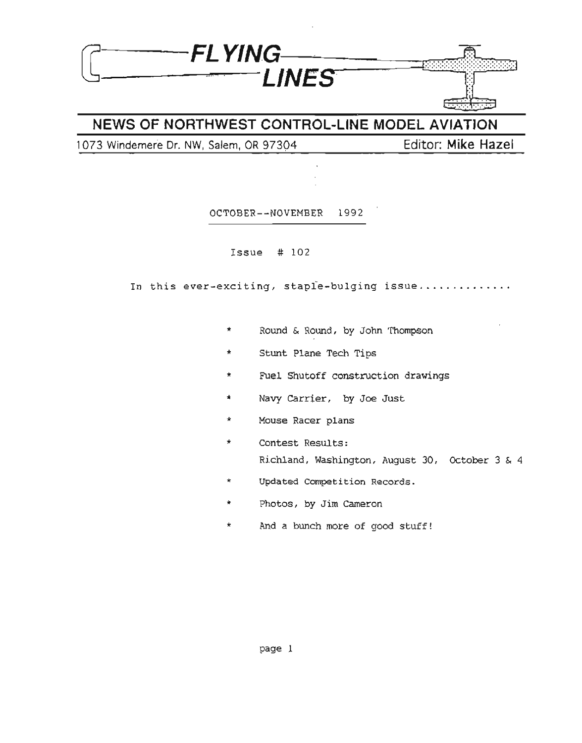

### **NEWS OF NORTHWEST CONTROL-LINE MODEL AVIATION**

1073 Windemere Dr. NW, Salem, OR 97304 **Editor: Mike Hazel**

OCTOBER--NOVEMBER 1992

Issue # 102

In this ever-exciting, staple-bulging issue.............

- \* Round & Round, by John Thompson
- \* Stunt Plane Tech Tips
- \* Fuel Shutoff construction drawings
- \* Navy Carrier, by Joe Just
- \* Mouse Racer plans
- \* Contest Results: Richland, Washington, August 30, October 3 & 4
- \* Updated Competition Records.
- \* Photos, by Jim Cameron
- \* And a bunch more of good stuff!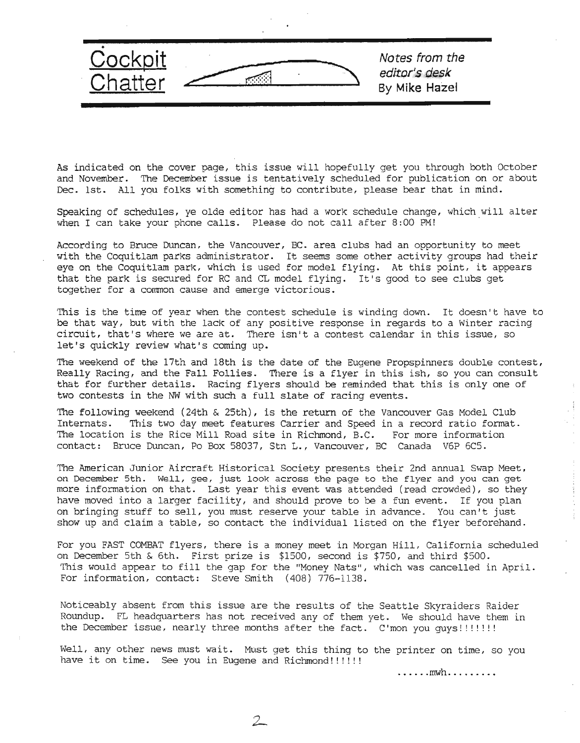

As indicated on the cover page, this issue will hopefully get you through both October and November. The December issue is tentatively scheduled for publication on or about Dec. 1st. All you folks with something to contribute, please bear that in mind.

Speaking of schedules, ye olde editor has had a work schedule change, which will alter when I can take your phone calls. Please do not call after 8:00 PM!

According to Bruce Duncan, the Vancouver, BC. area clubs had an opportunity to meet with the Coquitlam parks administrator. It seems some other activity groups had their eye on the Coquitlam park, which is used for model flying. At this point, it appears that the park is secured for RC and CL model flying. It's good to see clubs get together for a cornmon cause and emerge victorious.

This is the time of year when the contest schedule is winding down. It doesn't have to be that way, but with the lack of any positive response in regards to a Winter racing circuit, that's where we are at. There isn't a contest calendar in this issue, so let's quickly review what's coming up.

The weekend of the 17th and 18th is the date of the Eugene Propspinners double contest, Really Racing, and the Fall Follies. There is a flyer in this ish, so you can consult that for further details. Racing flyers should be reminded that this is only one of two contests in the NW with such a full slate of racing events.

The following weekend (24th & 25th), is the return of the Vancouver Gas Model Club Internats. This two day meet features Carrier and Speed in a record ratio format. The location is the Rice Mill Road site in Richmond, B.C. For more information contact: Bruce Duncan, Po Box 58037, Stn L., Vancouver, BC Canada V6P 6C5.

The American Junior Aircraft Historical Society presents their 2nd annual Swap Meet, on December 5th. Well, gee, just look across the page to the flyer and you can get more information on that. Last year this event was attended (read crowded), so they have moved into a larger facility, and should prove to be a fun event. If you plan on bringing stuff to sell, you must reserve your table in advance. You can't just show up and claim a table, so contact the individual listed on the flyer beforehand.

For you FAST COMBAT flyers, there is a money meet in Morgan Hill, California scheduled on December 5th & 6th. First prize is \$1500, second is \$750, and third \$500. This would appear to fill the gap for the "Money Nats", which was cancelled in April. For information, contact: Steve Smith (408) 776-1138.

Noticeably absent from this issue are the results of the Seattle Skyraiders Raider Roundup. FL headquarters has not received any of them yet. We should have them in the December issue, nearly three months after the fact. C'mon you guys!!!!!!!!

Well, any other news must wait. Must get this thing to the printer on time, so you have it on time. See you in Eugene and Richmond!!!!!!

2

•••••••mwh ••••••••••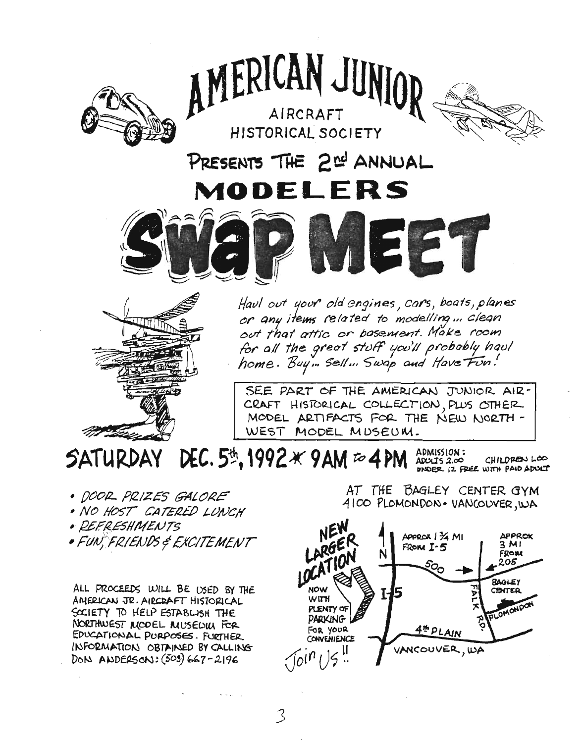

AMERICAN JUNIOR

AIRCRAFT HISTORICAL SOCIETY



PRESENTS THE 2<sup>nd</sup> ANNUAL MODELERS





Havl out your old engines, cars, boats, planes or any items related to modelling ... clean out that attic or bosement. Make room for all the great stuff you'll probably havl home. Buy ... sell ... Swap and Have Fun!

SEE PART OF THE AMERICAN JUNIOR AIR-CRAFT HISTORICAL COLLECTION, PLUS OTHER MODEL ARTIFACTS FOR THE NEW NORTH-WEST MODEL MUSEUM.

DEC. 5th, 1992  $\times$  9 AM  $\approx$  4 PM **SATURDAY** ADMISSION:  $ADUIS 2.00$ DINDER 12 FREE WITH PAID ADUCT

• DOOR PRIZES GALORE

- · NO HOST CATERED LUNCH
- · REFRESHMENTS
- FUN, FRIENDS & EXCITEMENT

ALL PROCEEDS WILL BE USED BY THE AMERICAN JR. AIRCRAFT HISTORICAL SOCIETY TO HELP ESTABLISH THE NORTHWEST MODEL MUSEUM FOR EDUCATIONAL PURPOSES. FURTHER INFORMATION OBTAINED BY CALLING DON ANDERSON:  $(503)$  667-2196

AT THE BAGLEY CENTER GYM 4100 PLOMONDON. VANCOUVER, WA

CHILDREN LOO

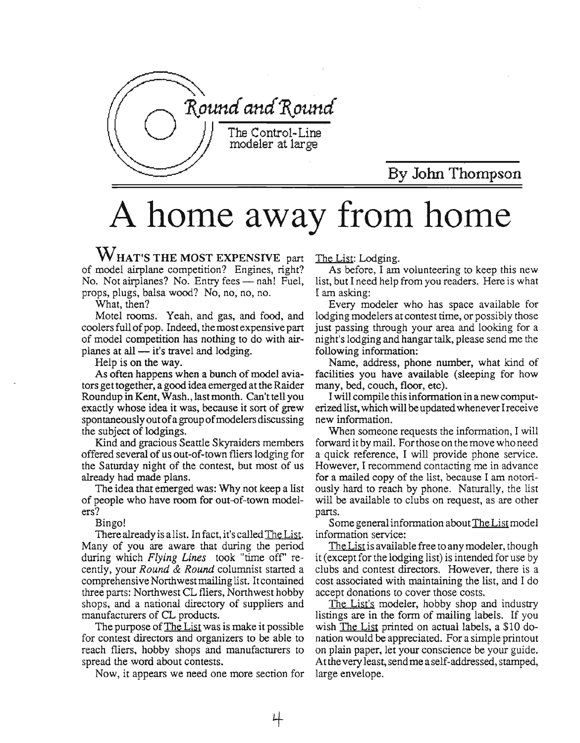

## By John Thompson

# A home away from home

WHAT'S THE MOST EXPENSIVE part of model airplane competition? Engines, right? No. Not airplanes? No. Entry fees - nah! Fuel, props, plugs, balsa wood? No, no, no, no.

What, then?

Motel rooms. Yeah, and gas, and food, and coolers full of pop. Indeed, the most expensive part of model competition has nothing to do with airplanes at all  $-$  it's travel and lodging.

Help is on the way.

As often happens when a bunch of model aviators get together, a good idea emerged at the Raider Roundup in Kent, Wash., lastmonth. Can't tell you exactly whose idea it was, because it sort of grew spontaneously out of a group of modelers discussing the subject of lodgings.

Kind and gracious Seattle Skyraiders members offered several of us out-of-town fliers lodging for the Saturday night of the contest, but most of us already had made plans.

The idea that emerged was: Why not keep a list of people who have room for out-of-town modelers?

Bingo!

There already is a list. In fact, it's called The List. Many of you are aware that during the period during which *Flying Lines* took "time off' recently, your Round & Round columnist started a comprehensive Northwest mailing list. It contained three parts: Northwest CL fliers, Northwest hobby shops, and a national directory of suppliers and manufacturers of CL products.

The purpose of The List was is make it possible for contest directors and organizers to be able to reach fliers, hobby shops and manufacturers to spread the word about contests.

Now, it appears we need one more section for

The List: Lodging.

As before, I am volunteering to keep this new list, but I need help from you readers. Here is what I am asking:

Every modeler who has space available for lodging modelers at contest time, or possibly those just passing through your area and looking for a night's lodging and hangartalk, please send me the following information:

Name, address, phone number, what kind of facilities you have available (sleeping for how many, bed, couch, floor, etc).

I will compile thisinformation in a new computerized list, whichwill be updatedwheneverIreceive new information.

When someone requests the information, I will forward it by mail. Forthose on the move who need a quick reference, I will provide phone service. However, I recommend contacting me in advance for a mailed copy of the list, because I am notoriously hard to reach by phone. Naturally, the list will be available to clubs on request, as are other parts.

Some general information about The List model information service:

The List is available free to any modeler, though it (except for the lodging list) is intended for use by clubs and contest directors. However, there is a cost associated with maintaining the list, and I do accept donations to cover those costs.

The List's modeler, hobby shop and industry listings are in the form of mailing labels. If you wish The List printed on actual labels, a \$10 donation would be appreciated. For a simple printout on plain paper, let your conscience be your guide. At the very least, send me a self-addressed, stamped, large envelope.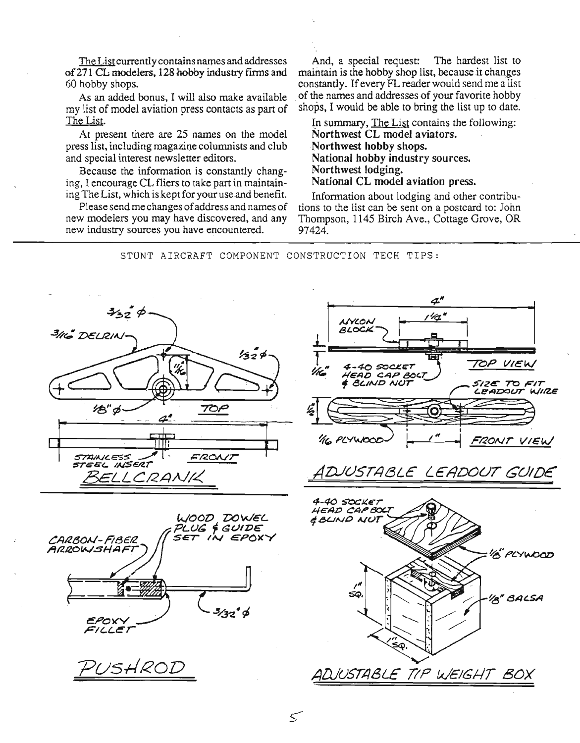The List currently contains names and addresses of 271 CL modelers, 128 hobby industry firms and 60 hobby shops.

As an added bonus, I will also make available my list of model aviation press contacts as part of The List.

At present there are 25 names on the model press list, including magazine columnists and club and special interest newsletter editors.

Because the information is constantly changing, I encourage CL fliers to take part in maintaining The List, which is kept for your use and benefit.

Please send me changes of address and names of new modelers you may have discovered, and any new industry sources you have encountered.

And, a special request: The hardest list to maintain is the hobby shop list, because it changes constantly. Ifevery FL reader would send me a list of the names and addresses of your favorite hobby shops. I would be able to bring the list up to date.

In summary, The List contains the following: Northwest CL model aviators. Northwest hobby shops. National hobby industry sources. Northwest lodging. National CL model aviation press.

Information about lodging and other contributions to the list can be sent on a postcard to: John Thompson, 1145 Birch Ave., Cottage Grove, OR 97424.

NYLON

4-40 SOCKET

 $4^{\prime\prime}$ 

'ht

STUNT AIRCRAFT COMPONENT CONSTRUCTION TECH TIPS:

 $\leq$ 





 $\begin{array}{c} \begin{array}{c} \begin{array}{c} \text{1} \\ \text{2} \end{array} \end{array} \end{array}$ 

TOP VIEW



Pus*HROD*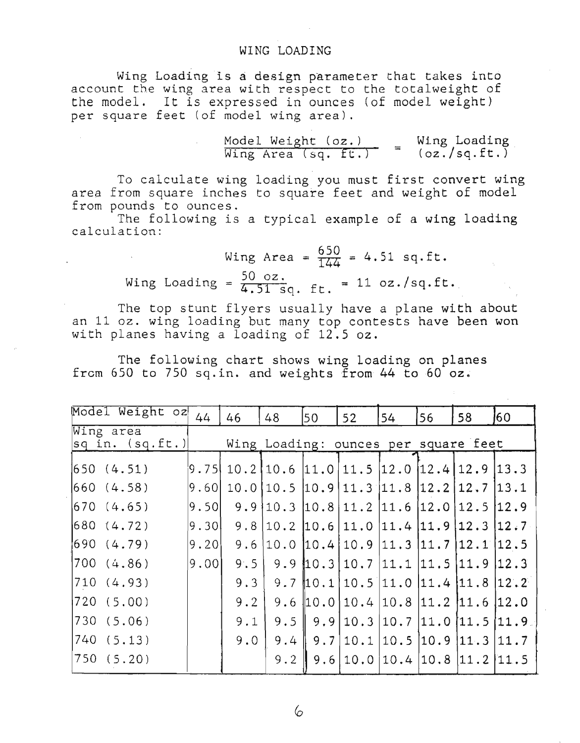#### WING LOADING

Wing Loading is design parameter that takes into account the wing area with respect to the totalweight of the model. It is expressed in ounces (of model weight) per square feet (of model wing area).

$$
\frac{\text{Model Weight}(oz.)}{\text{Wing Area}(sq, ft.)} = \frac{\text{Wing loading}}{(oz./sq, ft.)}
$$

To calculate wing loading you must first convert wing area from square inches to square feet and weight of model from pounds to ounces.

The following is a typical example of a wing loading calculation:

> Wing Area =  $\frac{650}{144}$  = 4.51 sq.ft. Wing Loading =  $\frac{50 \text{ oz.}}{4.51 \text{ sq. ft.}}$  = 11 oz./sq.ft.

The top stunt flyers usually have a plane with about an 11 oz. wing loading but many top contests have been won with planes having a loading of 12.5 oz.

The following chart shows wing loading on planes from 650 to 750 sq. in. and weights from 44 to 60 oz.

| Model Weight oz                                                                   | 44     | 46  | 48                                                                                                   | 50               | 52                   | 54                 | 56        | 58                                                 | 160     |
|-----------------------------------------------------------------------------------|--------|-----|------------------------------------------------------------------------------------------------------|------------------|----------------------|--------------------|-----------|----------------------------------------------------|---------|
| Wing area<br>$ sq \text{ in. } (sq.ft.) $<br>Wing Loading: ounces per square feet |        |     |                                                                                                      |                  |                      |                    |           |                                                    |         |
| 1650(4.51)                                                                        |        |     | $\vert 9.75 \vert 10.2 \vert 10.6 \vert 11.0 \vert 11.5 \vert 12.0 \vert 12.4 \vert 12.9 \vert 13.3$ |                  |                      |                    |           |                                                    |         |
| 660 (4.58)                                                                        | 9.60   |     | $10.0$  10.5  10.9   11.3   11.8   12.2   12.7   13.1                                                |                  |                      |                    |           |                                                    |         |
| 670 (4.65)                                                                        | 9.50   |     | 9.9 10.3                                                                                             | 10.8             | 11.2                 | 11.6               | 12.0      | 12.5                                               | 12.9    |
| 680 (4.72)                                                                        | 19.30I | 9.8 | 10.2                                                                                                 | 10.6             | $11.0$ $11.4$ $11.9$ |                    |           | 112.3                                              | 12.7    |
| 690(4.79)                                                                         | 19.201 | 9.6 | 10.0                                                                                                 | 110.41           |                      | $10.9$  11.3  11.7 |           | $ 12.1\rangle$                                     | [12, 5] |
| 700 (4.86)                                                                        | 9.00   | 9.5 | 9.9                                                                                                  | 110.3            | 10.7                 | 11.1               | 11.5 11.9 |                                                    | 12.3    |
| 710(4.93)                                                                         |        | 9.3 | 9.7                                                                                                  | 10.1             |                      |                    |           | $10.5$ 11.0 11.4 11.8 12.2                         |         |
| 720 (5.00)                                                                        |        | 9.2 | 9.6                                                                                                  | $\parallel$ 10.0 | 10.4                 | 10.8               |           | 11.2 11.6                                          | 112.0   |
| 730(5.06)                                                                         |        | 9.1 | 9.5                                                                                                  | 9.9              | 10.3                 | 10.7               | 11.0      | 11.5                                               | 11.9    |
| 740 (5.13)                                                                        |        | 9.0 | 9.4                                                                                                  | 9.7              | 10.1                 | 10.5               |           | $\begin{bmatrix} 10.9 & 11.3 & 11.7 \end{bmatrix}$ |         |
| 750(5.20)                                                                         |        |     | 9.2                                                                                                  | 9.6              | 10.0                 | 10.4               |           |                                                    |         |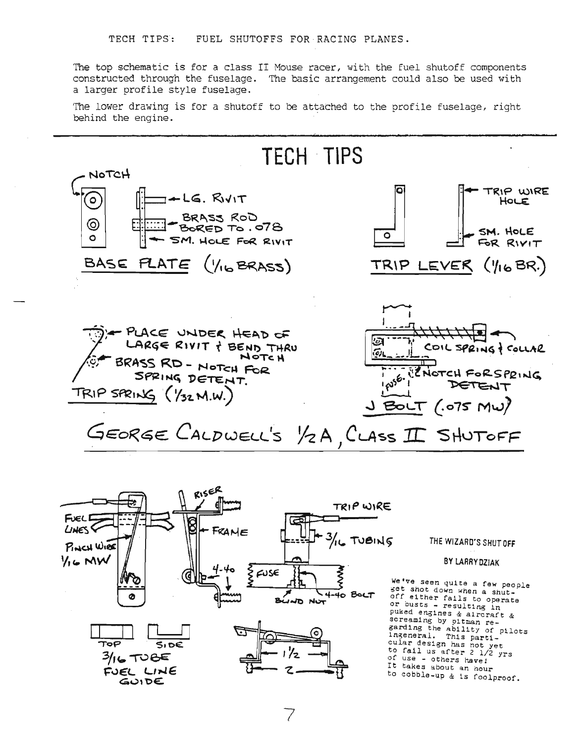The top schematic is for a class II Mouse racer, with the fuel shutoff components constructed through the fuselage. The basic arrangement could also be used with a larger profile style fuselage.

The lower drawing is for a shutoff to be attached to the profile fuselage, right behind the engine.

TECH' TIPS NOTCH o TRIP WIRE  $-LG.$  Rivit @ HOLE .: \_ BR"S~ Rot:> :-70- .: ~ED To • Of e;;, @ SM. HOLE  $SM.$  Hole For  $RIVIT$  0 o FOR RIVIT BASE PLATE 16 BRASS) TRIP LEVER (YIGBR.) PLACE UNDER HEAD OF l a LARGE RIVIT & BEND THRU COIL SPRING & COLLAR  $\tilde{\omega}_l$ NOTCH BRASS RD - NOTCH FOR  $N$ CNOTCH FORSPRING SPRING DETENT. **p**s6. TRIP SPRING (Y32 M.W.) BOLT  $(0.075 \text{ MW})$ GEORGE CALDWELL'S 1/2 A, CLASS II SHUTOFF



THE WIZARD'S SHUT OFf

BY LARRY DZIAK

We've seen quite a few people get shot down when a shutoff either fails to operate<br>or ousts - resulting in pUked engines & aircraft & screaming by pitman regarding the ability of pilots<br>ingeneral. This particular deslgn has not yet to fall us after <sup>2</sup> 1/2 yrs of use - others have: It takes about an hour to cobble\_up & is foolproof.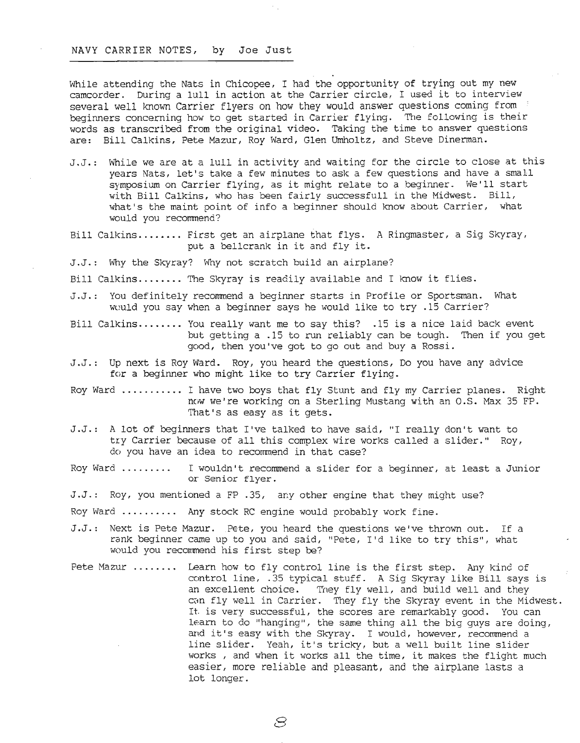#### NAVY CARRIER NOTES, by Joe Just

While attending the Nats in Chicopee, I had the opportunity of trying out my new camcorder. During <sup>a</sup> lull in action at the Carrier circle, <sup>I</sup> used it to interview several well known Carrier flyers on how they would answer questions coming from ' beginners concerning how to get started in Carrier flying. The following is their words as transcribed from the original video. Taking the time to answer questions are: Bill Calkins, Pete Mazur, Roy Ward, Glen Umholtz, and Steve Dinerman.

- J.J.: While we are at a lull in activity and waiting for the circle to close at this years Nats, let's take a few minutes to ask a few questions and have a small symposium on Carrier flying, as it might relate to <sup>a</sup> beginner. We'll start with Bill Calkins, who has been fairly successfull in the Midwest. Bill, what's the maint point of info a beginner should know about Carrier, what would you recommend?
- Bill Calkins........ First get an airplane that flys. A Ringmaster, a Sig Skyray, put <sup>a</sup> bellcrank in it and fly it.
- J.J.: Why the Skyray? Why not scratch build an airplane?
- Bill Calkins........ The Skyray is readily available and I know it flies.
- J.J.: You definitely recommend a beginner starts in Profile or Sportsman. What wuuld you say when a beginner says he would like to try .15 Carrier?
- Bill Calkins........ You really want me to say this?  $.15$  is a nice laid back event but getting a .15 to run reliably can be tough. Then if you get good, then you've got to go out and buy a Rossi.
- J.J.: Up next is Roy Ward. Roy, you heard the questions, Do you have any advice for a beginner who might like to try Carrier flying.
- Roy Ward .......... I have two boys that fly Stunt and fly my Carrier planes. Right now we're working on a Sterling Mustang with an O.S. Max 35 FP. That's as easy as it gets.
- J.J.: A lot of beginners that I've talked to have said, "I really don't want to try Carrier because of all this complex wire works called a slider." Roy, do you have an idea to recommend in that case?
- Roy Ward . <sup>I</sup> wouldn't recommend <sup>a</sup> slider for <sup>a</sup> beginner, at least <sup>a</sup> Junior or Senior flyer.
- J.J.: Roy, you mentioned a FP .35, any other engine that they might use?

Roy Ward ......... Any stock RC engine would probably work fine.

- J.J.: Next is Pete Mazur. PEte, you heard the questions we've thrown out. If a rank beginner came up to you and said, "Pete, I'd like to try this", what would you recommend his first step be?
- Pete Mazur ....... Learn how to fly control line is the first step. Any kind of control line, .35 typical stuff. A Sig Skyray like Bill says is an excellent choice. They fly well, and build well and they can fly well in Carrier. They fly the Skyray event in the Midwest. It. is very successful, the scores are remarkably good. You can learn to do "hanging", the same thing all the big guys are doing, and it's easy with the Skyray. I would, however, recommend a line slider. Yeah, it's tricky, but <sup>a</sup> well built line slider works , and when it works all the time, it makes the flight much easier, more reliable and pleasant, and the airplane lasts a lot longer.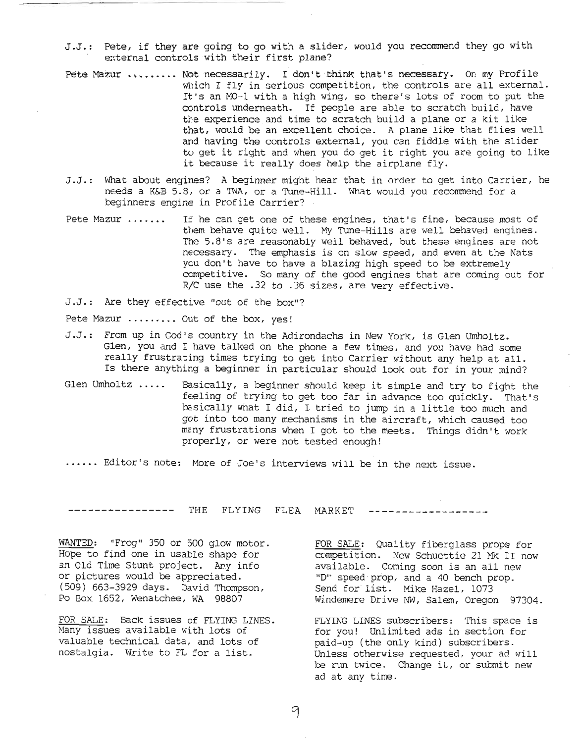- J.J.: Pete, if they are going to go with a slider, would you recommend they go with external controls with their first plane?
- Pete Mazur ........ Not necessarily. I don't think that's necessary. Or my Profile which I fly in serious competition, the controls are all external. It's an MO-1 with <sup>a</sup> high wing, so there's lots of room to put the controls underneath. If people are able to scratch build, have the experience and time to scratch build a plane or a kit like that, would be an excellent choice. A plane like that flies well and having the controls external, you can fiddle with the slider tu get it right and when you do get it right you are going to like it because it really does help the airplane fly.
- J.J.: What about engines? A beginner might hear that in order to get into Carrier, he needs a K&B 5.8, or a TWA, or a Tune-Hill. What would you recommend for a beginners engine in Profile Carrier?
- Pete Mazur . If he can get one of these engines, that's fine, because most of them behave quite well. My Tune-Hills are well behaved engines. The 5.8's are reasonably well behaved, but these engines are not necessary. The emphasis is on slow speed, and even at the Nats you don't have to have a blazing high speed to be extremely competitive. So many of the good engines that are coming out for  $R/C$  use the .32 to .36 sizes, are very effective.
- J.J.: Are they effective "out of the box"?

Pete Mazur ........ Out of the box, yes!

- J.J.: From up in God's country in the Adirondachs in New York, is Glen Umholtz. Glen, you and I have talked on the phone a few times, and you have had some really frustrating times trying to get into Carrier without any help at all. Is there anything a beginner in particular should look out for in your mind?
- Glen Umholtz ..... Basically, <sup>a</sup> beginner should keep it simple and try to fight the feeling of trying to get too far in advance too quickly. That's basically what <sup>I</sup> did, <sup>I</sup> tried to jump in <sup>a</sup> little too much and got into too many mechanisms in the aircraft, which caused too mcny frustrations when I got to the meets. Things didn't work properly, or were not tested enough!
- ...... Editor's note: More of Joe's interviews will be in the next issue.

--------------- THE FLYING FLEA MARKET ------------------

WANTED: "Frog" 350 or 500 glow motor. Hope to find one in usable shape for an Old Time Stunt project. Any info or pictures would be appreciated. (509) 663-3929 days. David Thompson, Po Box 1652, Wenatchee, WA 98807

FOR SALE: Back issues of FLYING LINES. Many issues available with lots of valuable technical data, and lots of nostalgia. Write to FL for a list.

FOR SALE: Quality fiberglass props for competition. New Schuettie 21 Mk II now available. Coming soon is an all new "D" speed·prop, and a 40 bench prop. Send for list. Mike Hazel, 1073 Wi.ndemere Drive NW, Salem, Oregon 97304.

FLYING LINES subscribers: This space is for you! Unlimited ads in section for paid-up (the only kind) subscribers. Unless otherwise requested, your ad will be run twice. Change it, or submit new ad at any time.

9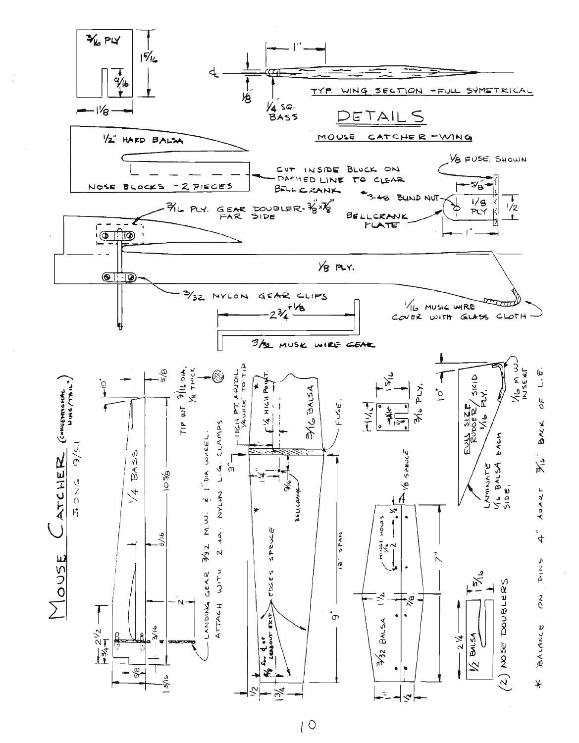

 $\sqrt{0}$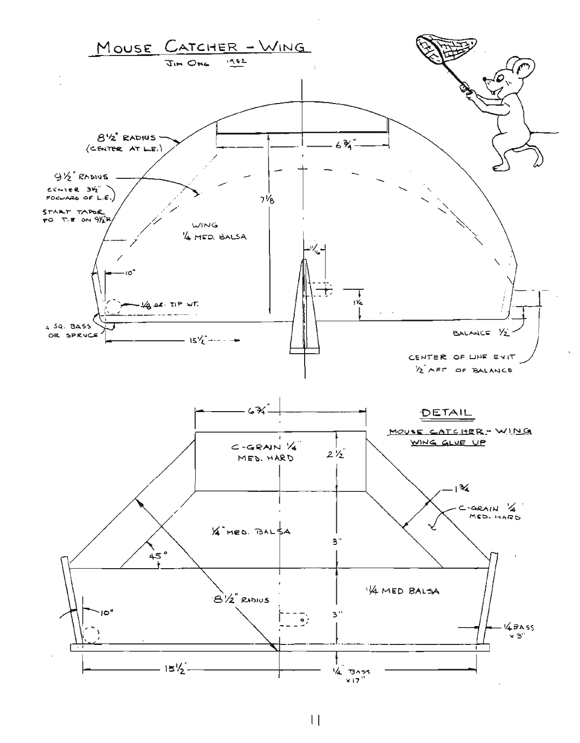

 $\lfloor \cdot \rfloor$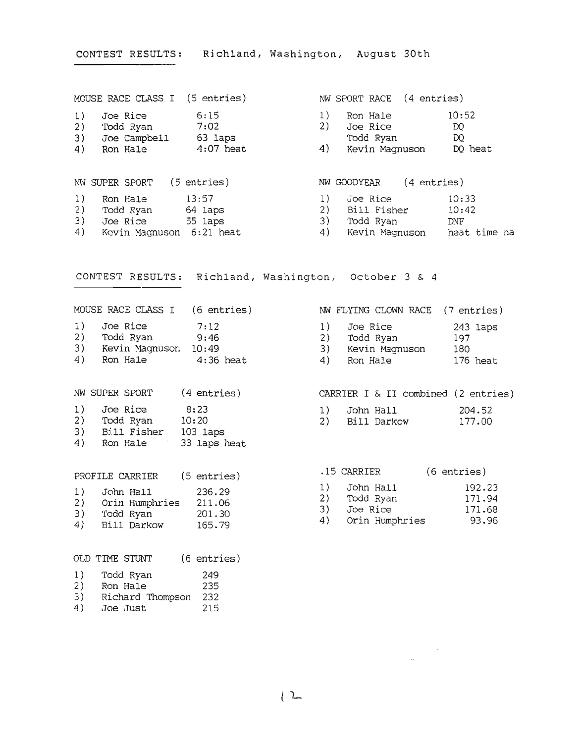CONTEST RESULTS: Richland, Washington, August 30th MOUSE RACE CLASS I (5 entries) NW SPORT RACE (4 entries) 1) Joe Rice 6:15 1) Ron Hale 10:52 2) Todd Ryan 7:02 2) Joe Rice IX) 3) Joe Campbell 63 laps Todd Ryan IX 4) Ron Hale 4:07 heat 4 4) Kevin Magnuson DQ heat

NW SUPER SPORT (5 entries) NW GOODYEAR (4 entries) 1) Ron Hale 13:57 1) Joe Rice 10:33 2) Todd Ryan 64 laps 2) Bill Fisher 10:42 3) Joe Rice 55 laps 3) Todd Ryan DNF 4) Kevin Magnuson 6:21 heat 4) Kevin Magnuson heat time na

CONTEST RESULTS: Richland, Washington, October 3 & 4

MOUSE RACE CLASS I (6 entries) 1) Joe Rice 2) Todd Ryan 3) Kevin Magnuson 4) Ron Hale 4:36 heat 7:12 9:46 10:49

NW SUPER SPORT (4 entries)

- 1) Joe Rice 2) Todd Ryan 10:20 3) Bill Fisher 103 laps 8:23
- 4) Ron Hale 33 laps heat

PROFILE CARRIER (5 entries) 1) John Hall 236.29 2) Orin Humphries 211.06 3) Todd Ryan 201.30

165.79

4) Bill Darkow

NW FLYING CLOWN RACE (7 entries) 1) Joe Rice 2) Todd Ryan 3) Kevin Magnuson 4) Ron Hale 243 laps 197 180 176 heat

CARRIER I & II combined (2 entries)

| 1) | John Hall |             | 204.52 |
|----|-----------|-------------|--------|
| 2) |           | Bill Darkow | 177.00 |

|    | .15 CARRIER |                | (6 entries) |
|----|-------------|----------------|-------------|
| 1) | John Hall   |                | 192.23      |
| 2) | Todd Ryan   |                | 171.94      |
| 3) | Joe Rice    |                | 171.68      |
| 4) |             | Orin Humphries | 93.96       |

|    | OLD TIME STUNT   | $(6$ entries) |
|----|------------------|---------------|
| 1) | Todd Ryan        | 249           |
| 2) | Ron Hale         | 235           |
| 3) | Richard Thompson | 232           |
| 4) | Joe Just         | 215           |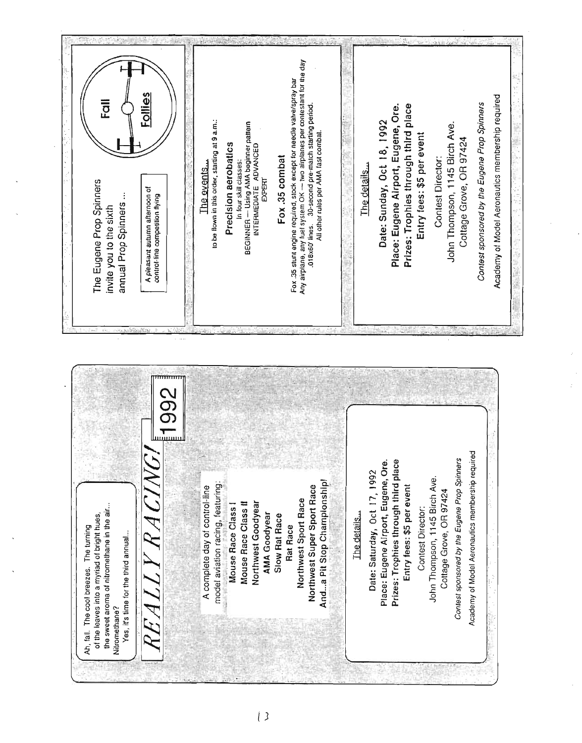

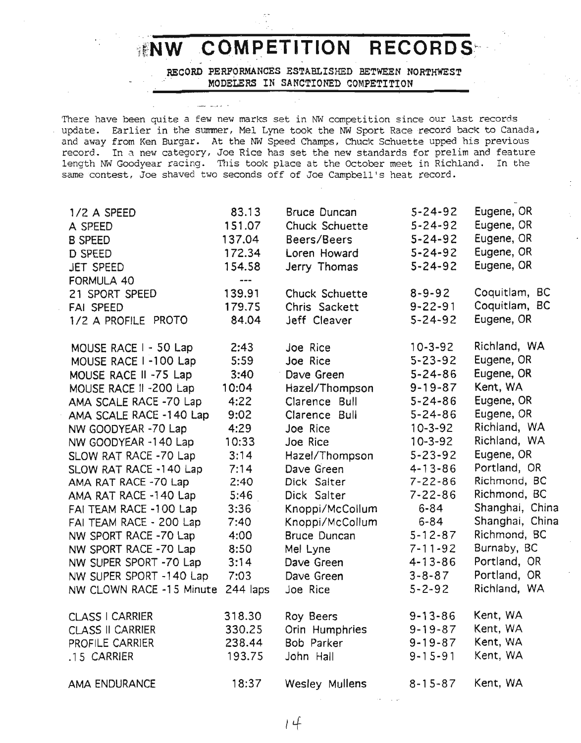# INW COMPETITION RECORDS:

RECORD PERFORMANCES ESTABLISHED BETWEEN NORTHWEST .: . MODELERS IN SANCTIONED COMPETITION

There have been quite a few new marks set in NW competition since our last records update. Earlier in the summer, Mel Lyne took the NW Sport Race record back to Canada, and away from Ken Burgar. At the NW Speed Champs, Chuck Schuette upped his previous record. In a new category, Joe Rice has set the new standards for prelim and feature length NW Goodyear racing. This took place at the October meet in Richland. In the same contest, Joe shaved two seconds off of Joe Campbell's heat record.

| 1/2 A SPEED              | 83.13      | <b>Bruce Duncan</b> | $5 - 24 - 92$ | Eugene, OR      |
|--------------------------|------------|---------------------|---------------|-----------------|
| A SPEED                  | 151.07     | Chuck Schuette      | $5 - 24 - 92$ | Eugene, OR      |
| <b>B SPEED</b>           | 137.04     | Beers/Beers         | $5 - 24 - 92$ | Eugene, OR      |
| D SPEED                  | 172.34     | Loren Howard        | $5 - 24 - 92$ | Eugene, OR      |
| JET SPEED                | 154.58     | Jerry Thomas        | $5 - 24 - 92$ | Eugene, OR      |
| <b>FORMULA 40</b>        | $---$      |                     |               |                 |
| 21 SPORT SPEED           | 139.91     | Chuck Schuette      | $8 - 9 - 92$  | Coquitlam, BC   |
| <b>FAI SPEED</b>         | 179.75     | Chris Sackett       | $9 - 22 - 91$ | Coquitlam, BC   |
| 1/2 A PROFILE PROTO      | 84.04      | Jeff Cleaver        | $5 - 24 - 92$ | Eugene, OR      |
| MOUSE RACE I - 50 Lap    | 2:43       | Joe Rice            | $10 - 3 - 92$ | Richland, WA    |
| MOUSE RACE I-100 Lap     | 5:59       | Joe Rice            | $5 - 23 - 92$ | Eugene, OR      |
| MOUSE RACE II -75 Lap    | 3:40       | Dave Green          | $5 - 24 - 86$ | Eugene, OR      |
| MOUSE RACE II - 200 Lap  | 10:04      | Hazel/Thompson      | $9 - 19 - 87$ | Kent, WA        |
| AMA SCALE RACE -70 Lap   | 4:22       | Clarence Bull       | $5 - 24 - 86$ | Eugene, OR      |
| AMA SCALE RACE -140 Lap  | 9:02       | Clarence Bull       | $5 - 24 - 86$ | Eugene, OR      |
| NW GOODYEAR -70 Lap      | 4:29       | Joe Rice            | $10 - 3 - 92$ | Richland, WA    |
| NW GOODYEAR -140 Lap     | 10:33      | Joe Rice            | $10 - 3 - 92$ | Richland, WA    |
| SLOW RAT RACE -70 Lap    | 3:14       | Hazel/Thompson      | $5 - 23 - 92$ | Eugene, OR      |
| SLOW RAT RACE -140 Lap   | 7:14       | Dave Green          | $4 - 13 - 86$ | Portland, OR    |
| AMA RAT RACE -70 Lap     | 2:40       | Dick Salter         | $7 - 22 - 86$ | Richmond, BC    |
| AMA RAT RACE -140 Lap    | 5:46       | Dick Salter         | $7 - 22 - 86$ | Richmond, BC    |
| FAI TEAM RACE -100 Lap   | 3:36       | Knoppi/McCollum     | $6 - 84$      | Shanghai, China |
| FAI TEAM RACE - 200 Lap  | 7:40       | Knoppi/McCollum     | $6 - 84$      | Shanghai, China |
| NW SPORT RACE -70 Lap    | 4:00       | <b>Bruce Duncan</b> | $5 - 12 - 87$ | Richmond, BC    |
| NW SPORT RACE -70 Lap    | 8:50       | Mel Lyne            | $7 - 11 - 92$ | Burnaby, BC     |
| NW SUPER SPORT -70 Lap   | 3:14       | Dave Green          | $4 - 13 - 86$ | Portland, OR    |
| NW SUPER SPORT -140 Lap  | 7:03       | Dave Green          | $3 - 8 - 87$  | Portland, OR    |
| NW CLOWN RACE -15 Minute | $244$ laps | Joe Rice            | $5 - 2 - 92$  | Richland, WA    |
| <b>CLASS I CARRIER</b>   | 318.30     | <b>Roy Beers</b>    | $9 - 13 - 86$ | Kent, WA        |
| <b>CLASS II CARRIER</b>  | 330.25     | Orin Humphries      | $9 - 19 - 87$ | Kent, WA        |
| PROFILE CARRIER          | 238.44     | Bob Parker          | $9 - 19 - 87$ | Kent, WA        |
| .15 CARRIER              | 193.75     | John Hall           | $9 - 15 - 91$ | Kent, WA        |
| AMA ENDURANCE            | 18:37      | Wesley Mullens      | $8 - 15 - 87$ | Kent, WA        |
|                          |            |                     |               |                 |

 $14$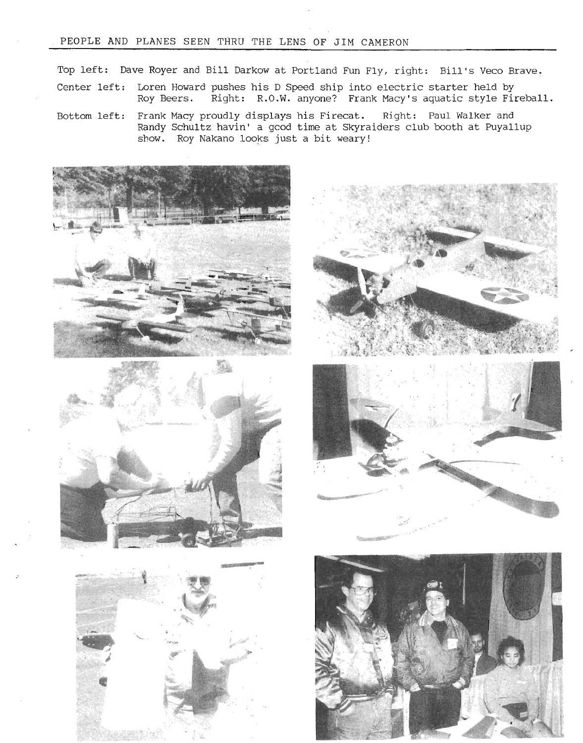#### PEOPLE AND PLANES SEEN THRU THE LENS OF JIM CAMERON

Top left: Dave Royer and Bill Darkow at Portland Fun Fly, right: Bill's Veco Brave.

- Center left: Loren Howard pushes his D Speed ship into electric starter held by<br>Roy Beers. Right: R.O.W. anyone? Frank Macy's aquatic style File Right: R.O.W. anyone? Frank Macy's aquatic style Fireball.
- Bottom left: Frank Macy proudly displays his Firecat. Right: Paul Walker and Randy Schultz havin' a good time at Skyraiders club booth at Puyallup show. Roy Nakano looks just a bit weary!